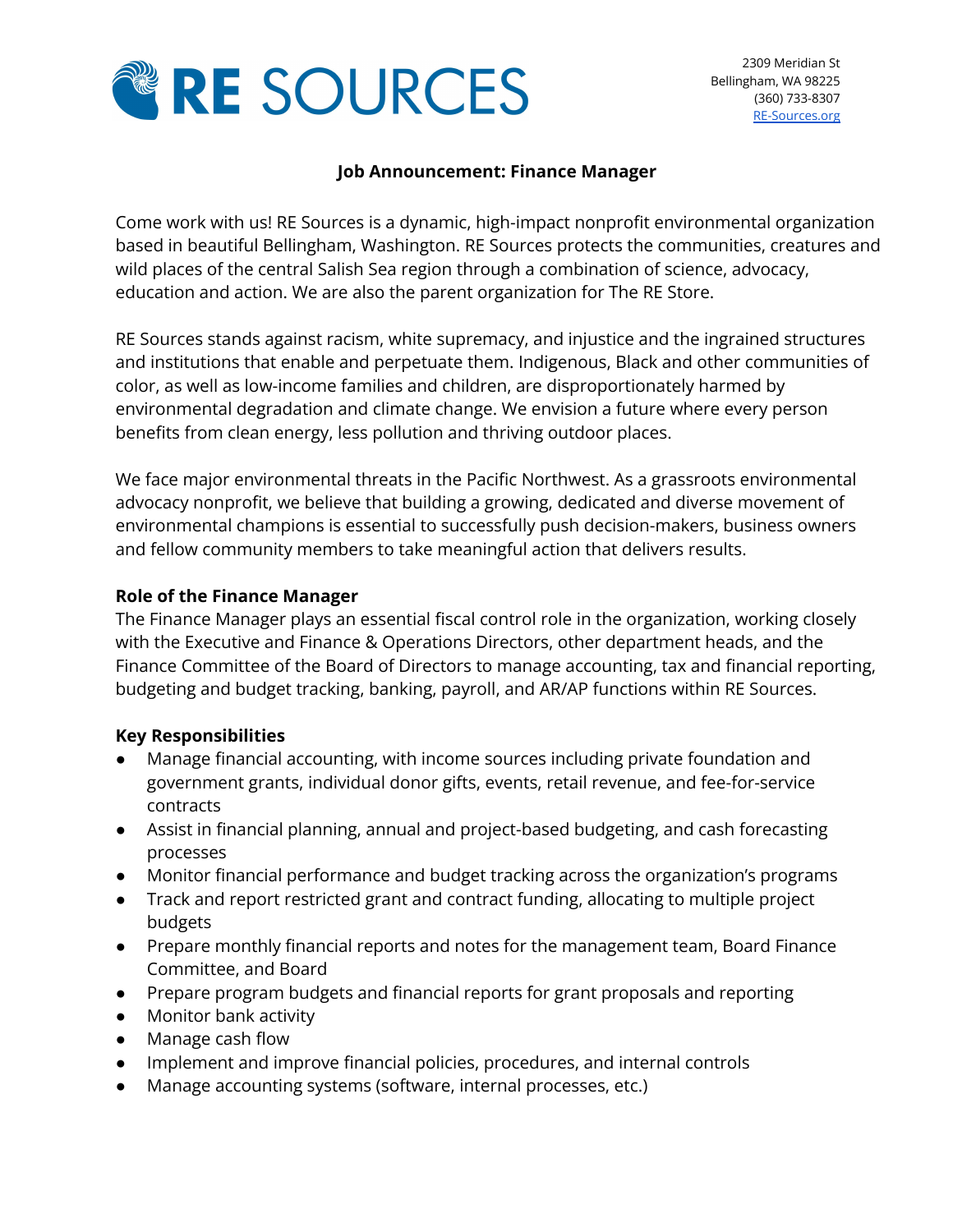

### **Job Announcement: Finance Manager**

Come work with us! RE Sources is a dynamic, high-impact nonprofit environmental organization based in beautiful Bellingham, Washington. RE Sources protects the communities, creatures and wild places of the central Salish Sea region through a combination of science, advocacy, education and action. We are also the parent organization for The RE Store.

RE Sources stands against racism, white supremacy, and injustice and the ingrained structures and institutions that enable and perpetuate them. Indigenous, Black and other communities of color, as well as low-income families and children, are disproportionately harmed by environmental degradation and climate change. We envision a future where every person benefits from clean energy, less pollution and thriving outdoor places.

We face major environmental threats in the Pacific Northwest. As a grassroots environmental advocacy nonprofit, we believe that building a growing, dedicated and diverse movement of environmental champions is essential to successfully push decision-makers, business owners and fellow community members to take meaningful action that delivers results.

### **Role of the Finance Manager**

The Finance Manager plays an essential fiscal control role in the organization, working closely with the Executive and Finance & Operations Directors, other department heads, and the Finance Committee of the Board of Directors to manage accounting, tax and financial reporting, budgeting and budget tracking, banking, payroll, and AR/AP functions within RE Sources.

# **Key Responsibilities**

- Manage financial accounting, with income sources including private foundation and government grants, individual donor gifts, events, retail revenue, and fee-for-service contracts
- Assist in financial planning, annual and project-based budgeting, and cash forecasting processes
- Monitor financial performance and budget tracking across the organization's programs
- Track and report restricted grant and contract funding, allocating to multiple project budgets
- Prepare monthly financial reports and notes for the management team, Board Finance Committee, and Board
- Prepare program budgets and financial reports for grant proposals and reporting
- Monitor bank activity
- Manage cash flow
- Implement and improve financial policies, procedures, and internal controls
- Manage accounting systems (software, internal processes, etc.)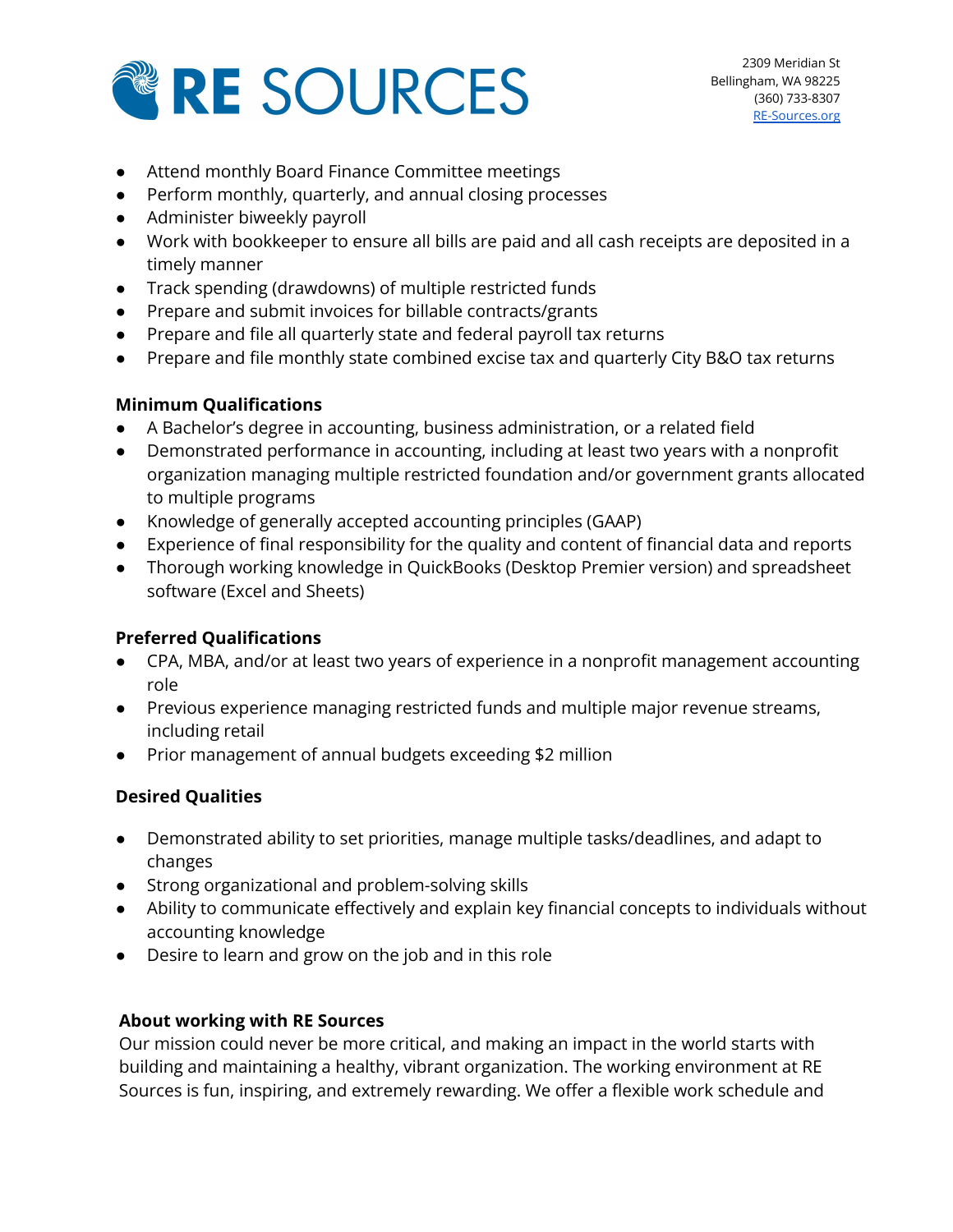

- Attend monthly Board Finance Committee meetings
- Perform monthly, quarterly, and annual closing processes
- Administer biweekly payroll
- Work with bookkeeper to ensure all bills are paid and all cash receipts are deposited in a timely manner
- Track spending (drawdowns) of multiple restricted funds
- Prepare and submit invoices for billable contracts/grants
- Prepare and file all quarterly state and federal payroll tax returns
- Prepare and file monthly state combined excise tax and quarterly City B&O tax returns

### **Minimum Qualifications**

- A Bachelor's degree in accounting, business administration, or a related field
- Demonstrated performance in accounting, including at least two years with a nonprofit organization managing multiple restricted foundation and/or government grants allocated to multiple programs
- Knowledge of generally accepted accounting principles (GAAP)
- Experience of final responsibility for the quality and content of financial data and reports
- Thorough working knowledge in QuickBooks (Desktop Premier version) and spreadsheet software (Excel and Sheets)

# **Preferred Qualifications**

- CPA, MBA, and/or at least two years of experience in a nonprofit management accounting role
- Previous experience managing restricted funds and multiple major revenue streams, including retail
- Prior management of annual budgets exceeding \$2 million

# **Desired Qualities**

- Demonstrated ability to set priorities, manage multiple tasks/deadlines, and adapt to changes
- Strong organizational and problem-solving skills
- Ability to communicate effectively and explain key financial concepts to individuals without accounting knowledge
- Desire to learn and grow on the job and in this role

### **About working with RE Sources**

Our mission could never be more critical, and making an impact in the world starts with building and maintaining a healthy, vibrant organization. The working environment at RE Sources is fun, inspiring, and extremely rewarding. We offer a flexible work schedule and